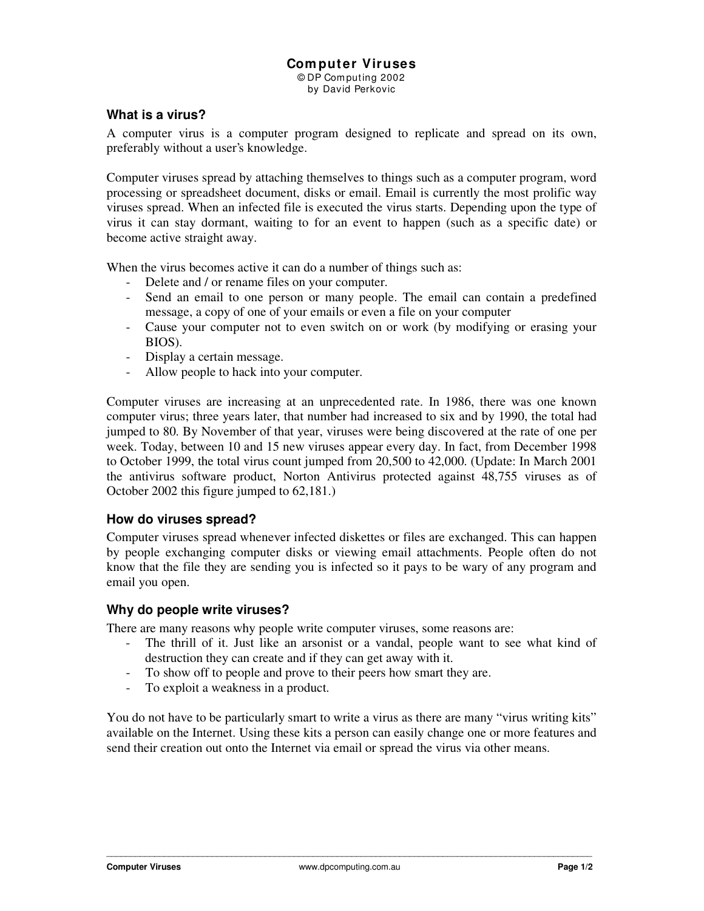# **Com puter Viruses**

© DP Com puting 2002 by David Perkovic

# **What is a virus?**

A computer virus is a computer program designed to replicate and spread on its own, preferably without a user's knowledge.

Computer viruses spread by attaching themselves to things such as a computer program, word processing or spreadsheet document, disks or email. Email is currently the most prolific way viruses spread. When an infected file is executed the virus starts. Depending upon the type of virus it can stay dormant, waiting to for an event to happen (such as a specific date) or become active straight away.

When the virus becomes active it can do a number of things such as:

- Delete and / or rename files on your computer.
- Send an email to one person or many people. The email can contain a predefined message, a copy of one of your emails or even a file on your computer
- Cause your computer not to even switch on or work (by modifying or erasing your BIOS).
- Display a certain message.
- Allow people to hack into your computer.

Computer viruses are increasing at an unprecedented rate. In 1986, there was one known computer virus; three years later, that number had increased to six and by 1990, the total had jumped to 80. By November of that year, viruses were being discovered at the rate of one per week. Today, between 10 and 15 new viruses appear every day. In fact, from December 1998 to October 1999, the total virus count jumped from 20,500 to 42,000. (Update: In March 2001 the antivirus software product, Norton Antivirus protected against 48,755 viruses as of October 2002 this figure jumped to 62,181.)

#### **How do viruses spread?**

Computer viruses spread whenever infected diskettes or files are exchanged. This can happen by people exchanging computer disks or viewing email attachments. People often do not know that the file they are sending you is infected so it pays to be wary of any program and email you open.

#### **Why do people write viruses?**

There are many reasons why people write computer viruses, some reasons are:

- The thrill of it. Just like an arsonist or a vandal, people want to see what kind of destruction they can create and if they can get away with it.
- To show off to people and prove to their peers how smart they are.
- To exploit a weakness in a product.

You do not have to be particularly smart to write a virus as there are many "virus writing kits" available on the Internet. Using these kits a person can easily change one or more features and send their creation out onto the Internet via email or spread the virus via other means.